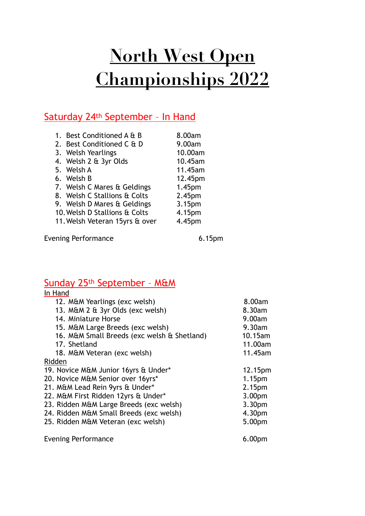# **North West Open Championships 2022**

### Saturday 24th September – In Hand

| 1. Best Conditioned A & B      | 8.00am             |
|--------------------------------|--------------------|
| 2. Best Conditioned C & D      | 9.00am             |
| 3. Welsh Yearlings             | 10.00am            |
| 4. Welsh 2 & 3yr Olds          | 10.45am            |
| 5. Welsh A                     | 11.45am            |
| 6. Welsh B                     | 12.45pm            |
| 7. Welsh C Mares & Geldings    | 1.45pm             |
| 8. Welsh C Stallions & Colts   | 2.45 <sub>pm</sub> |
| 9. Welsh D Mares & Geldings    | 3.15pm             |
| 10. Welsh D Stallions & Colts  | 4.15pm             |
| 11. Welsh Veteran 15yrs & over | 4.45pm             |
|                                |                    |

Evening Performance 6.15pm

### Sunday 25th September – M&M

| In Hand                                     |                    |
|---------------------------------------------|--------------------|
| 12. M&M Yearlings (exc welsh)               | 8.00am             |
| 13. M&M 2 & 3yr Olds (exc welsh)            | 8.30am             |
| 14. Miniature Horse                         | 9.00am             |
| 15. M&M Large Breeds (exc welsh)            | 9.30am             |
| 16. M&M Small Breeds (exc welsh & Shetland) | 10.15am            |
| 17. Shetland                                | 11.00am            |
| 18. M&M Veteran (exc welsh)                 | 11.45am            |
| Ridden                                      |                    |
| 19. Novice M&M Junior 16yrs & Under*        | 12.15pm            |
| 20. Novice M&M Senior over 16yrs*           | 1.15pm             |
| 21. M&M Lead Rein 9yrs & Under*             | 2.15pm             |
| 22. M&M First Ridden 12yrs & Under*         | 3.00pm             |
| 23. Ridden M&M Large Breeds (exc welsh)     | 3.30pm             |
| 24. Ridden M&M Small Breeds (exc welsh)     | 4.30pm             |
| 25. Ridden M&M Veteran (exc welsh)          | 5.00pm             |
| <b>Evening Performance</b>                  | 6.00 <sub>pm</sub> |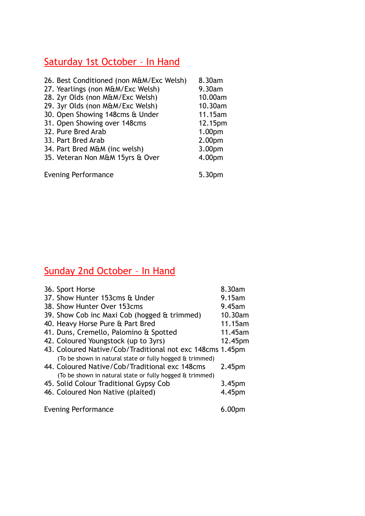### Saturday 1st October – In Hand

| 26. Best Conditioned (non M&M/Exc Welsh) | 8.30am  |
|------------------------------------------|---------|
| 27. Yearlings (non M&M/Exc Welsh)        | 9.30am  |
| 28. 2yr Olds (non M&M/Exc Welsh)         | 10.00am |
| 29. 3yr Olds (non M&M/Exc Welsh)         | 10.30am |
| 30. Open Showing 148cms & Under          | 11.15am |
| 31. Open Showing over 148cms             | 12.15pm |
| 32. Pure Bred Arab                       | 1.00pm  |
| 33. Part Bred Arab                       | 2.00pm  |
| 34. Part Bred M&M (inc welsh)            | 3.00pm  |
| 35. Veteran Non M&M 15yrs & Over         | 4.00pm  |
|                                          |         |
| <b>Evening Performance</b>               | 5.30pm  |

## Sunday 2nd October – In Hand

| 36. Sport Horse                                           | 8.30am             |
|-----------------------------------------------------------|--------------------|
| 37. Show Hunter 153cms & Under                            | 9.15am             |
| 38. Show Hunter Over 153cms                               | $9.45$ am          |
| 39. Show Cob inc Maxi Cob (hogged & trimmed)              | 10.30am            |
| 40. Heavy Horse Pure & Part Bred                          | 11.15am            |
| 41. Duns, Cremello, Palomino & Spotted                    | 11.45am            |
| 42. Coloured Youngstock (up to 3yrs)                      | 12.45pm            |
| 43. Coloured Native/Cob/Traditional not exc 148cms 1.45pm |                    |
| (To be shown in natural state or fully hogged & trimmed)  |                    |
| 44. Coloured Native/Cob/Traditional exc 148cms            | 2.45 <sub>pm</sub> |
| (To be shown in natural state or fully hogged & trimmed)  |                    |
| 45. Solid Colour Traditional Gypsy Cob                    | 3.45 <sub>pm</sub> |
| 46. Coloured Non Native (plaited)                         | 4.45pm             |
|                                                           |                    |
| <b>Evening Performance</b>                                |                    |
|                                                           |                    |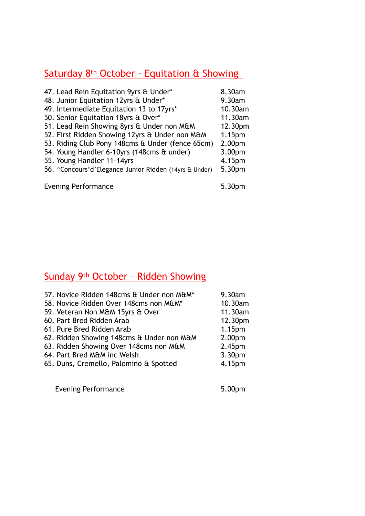### Saturday 8<sup>th</sup> October - Equitation & Showing

| 47. Lead Rein Equitation 9yrs & Under*                 | 8.30am             |
|--------------------------------------------------------|--------------------|
| 48. Junior Equitation 12yrs & Under*                   | 9.30am             |
| 49. Intermediate Equitation 13 to 17yrs*               | 10.30am            |
| 50. Senior Equitation 18yrs & Over*                    | 11.30am            |
| 51. Lead Rein Showing 8yrs & Under non M&M             | 12.30pm            |
| 52. First Ridden Showing 12yrs & Under non M&M         | 1.15 <sub>pm</sub> |
| 53. Riding Club Pony 148cms & Under (fence 65cm)       | 2.00 <sub>pm</sub> |
| 54. Young Handler 6-10yrs (148cms & under)             | 3.00pm             |
| 55. Young Handler 11-14yrs                             | 4.15pm             |
| 56. "Concours'd'Elegance Junior Ridden (14yrs & Under) | 5.30pm             |
| <b>Evening Performance</b>                             | 5.30pm             |
|                                                        |                    |

### Sunday 9th October – Ridden Showing

| 57. Novice Ridden 148cms & Under non M&M* | 9.30am             |
|-------------------------------------------|--------------------|
| 58. Novice Ridden Over 148cms non M&M*    | 10.30am            |
| 59. Veteran Non M&M 15yrs & Over          | 11.30am            |
| 60. Part Bred Ridden Arab                 | 12.30pm            |
| 61. Pure Bred Ridden Arab                 | 1.15 <sub>pm</sub> |
| 62. Ridden Showing 148cms & Under non M&M | 2.00pm             |
| 63. Ridden Showing Over 148cms non M&M    | 2.45 <sub>pm</sub> |
| 64. Part Bred M&M inc Welsh               | 3.30pm             |
| 65. Duns, Cremello, Palomino & Spotted    | 4.15pm             |
|                                           |                    |

Evening Performance **5.00pm**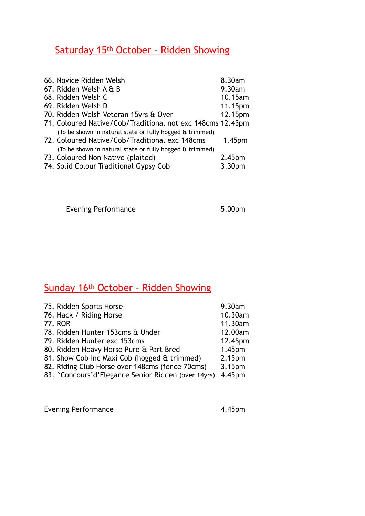### Saturday 15th October – Ridden Showing

| 66. Novice Ridden Welsh                                    | 8.30am             |
|------------------------------------------------------------|--------------------|
| 67. Ridden Welsh A & B                                     | 9.30am             |
| 68. Ridden Welsh C                                         | 10.15am            |
| 69. Ridden Welsh D                                         | 11.15pm            |
| 70. Ridden Welsh Veteran 15yrs & Over                      | 12.15pm            |
| 71. Coloured Native/Cob/Traditional not exc 148cms 12.45pm |                    |
| (To be shown in natural state or fully hogged & trimmed)   |                    |
| 72. Coloured Native/Cob/Traditional exc 148cms             | 1.45 <sub>pm</sub> |
| (To be shown in natural state or fully hogged & trimmed)   |                    |
| 73. Coloured Non Native (plaited)                          | 2.45 <sub>pm</sub> |
| 74. Solid Colour Traditional Gypsy Cob                     | 3.30 <sub>pm</sub> |
|                                                            |                    |

Evening Performance **5.00pm** 

### Sunday 16th October – Ridden Showing

| 75. Ridden Sports Horse                             | 9.30am             |
|-----------------------------------------------------|--------------------|
| 76. Hack / Riding Horse                             | 10.30am            |
| 77. ROR                                             | 11.30am            |
| 78. Ridden Hunter 153cms & Under                    | 12.00am            |
| 79. Ridden Hunter exc 153cms                        | 12.45pm            |
| 80. Ridden Heavy Horse Pure & Part Bred             | 1.45 <sub>pm</sub> |
| 81. Show Cob inc Maxi Cob (hogged & trimmed)        | 2.15pm             |
| 82. Riding Club Horse over 148cms (fence 70cms)     | 3.15pm             |
| 83. ^Concours'd'Elegance Senior Ridden (over 14yrs) | 4.45pm             |
|                                                     |                    |

Evening Performance **4.45pm**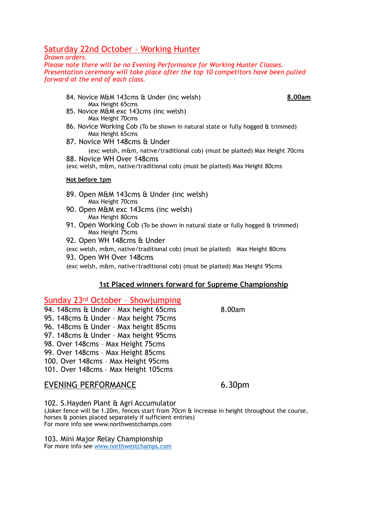#### Saturday 22nd October – Working Hunter

#### *Drawn orders.*

*Please note there will be no Evening Performance for Working Hunter Classes. Presentation ceremony will take place after the top 10 competitors have been pulled forward at the end of each class.*

- 84. Novice M&M 143cms & Under (inc welsh) **8.00am** Max Height 65cms
- 
- 85. Novice M&M exc 143cms (inc welsh) Max Height 70cms
- 86. Novice Working Cob (To be shown in natural state or fully hogged & trimmed) Max Height 65cms
- 87. Novice WH 148cms & Under

(exc welsh, m&m, native/traditional cob) (must be plaited) Max Height 70cms 88. Novice WH Over 148cms

(exc welsh, m&m, native/traditional cob) (must be plaited) Max Height 80cms

#### **Not before 1pm**

- 89. Open M&M 143cms & Under (inc welsh) Max Height 70cms
- 90. Open M&M exc 143cms (inc welsh) Max Height 80cms
- 91. Open Working Cob (To be shown in natural state or fully hogged & trimmed) Max Height 75cms
- 92. Open WH 148cms & Under

(exc welsh, m&m, native/traditional cob) (must be plaited) Max Height 80cms 93. Open WH Over 148cms

(exc welsh, m&m, native/traditional cob) (must be plaited) Max Height 95cms

#### **1st Placed winners forward for Supreme Championship**

#### Sunday 23rd October – Showjumping

- 94. 148cms & Under Max height 65cms 8.00am
- 95. 148cms & Under Max height 75cms
- 96. 148cms & Under Max height 85cms 97. 148cms & Under – Max height 95cms
- 
- 98. Over 148cms Max Height 75cms 99. Over 148cms – Max Height 85cms
- 
- 100. Over 148cms Max Height 95cms 101. Over 148cms – Max Height 105cms
- 

#### EVENING PERFORMANCE 6.30pm

102. S.Hayden Plant & Agri Accumulator (Joker fence will be 1.20m, fences start from 70cm & increase in height throughout the course, horses & ponies placed separately if sufficient entries) For more info see www.northwestchamps.com

103. Mini Major Relay Championship For more info see [www.northwestchamps.com](http://www.northwestchamps.com)